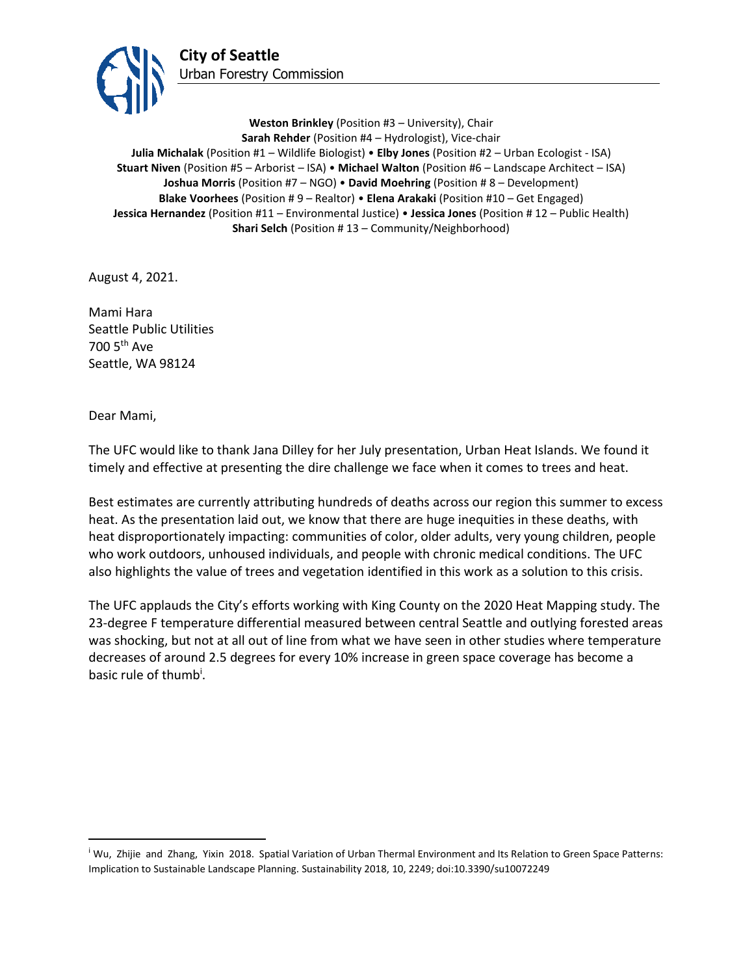

**Weston Brinkley** (Position #3 – University), Chair **Sarah Rehder** (Position #4 – Hydrologist), Vice-chair **Julia Michalak** (Position #1 – Wildlife Biologist) • **Elby Jones** (Position #2 – Urban Ecologist - ISA) **Stuart Niven** (Position #5 – Arborist – ISA) • **Michael Walton** (Position #6 – Landscape Architect – ISA) **Joshua Morris** (Position #7 – NGO) • **David Moehring** (Position # 8 – Development) **Blake Voorhees** (Position # 9 – Realtor) • **Elena Arakaki** (Position #10 – Get Engaged) **Jessica Hernandez** (Position #11 – Environmental Justice) • **Jessica Jones** (Position # 12 – Public Health) **Shari Selch** (Position #13 – Community/Neighborhood)

August 4, 2021.

Mami Hara Seattle Public Utilities 700 5th Ave Seattle, WA 98124

Dear Mami,

The UFC would like to thank Jana Dilley for her July presentation, Urban Heat Islands. We found it timely and effective at presenting the dire challenge we face when it comes to trees and heat.

Best estimates are currently attributing hundreds of deaths across our region this summer to excess heat. As the presentation laid out, we know that there are huge inequities in these deaths, with heat disproportionately impacting: communities of color, older adults, very young children, people who work outdoors, unhoused individuals, and people with chronic medical conditions. The UFC also highlights the value of trees and vegetation identified in this work as a solution to this crisis.

The UFC applauds the City's efforts working with King County on the 2020 Heat Mapping study. The 23-degree F temperature differential measured between central Seattle and outlying forested areas was shocking, but not at all out of line from what we have seen in other studies where temperature decreases of around 2.5 degrees for every 10% increase in green space coverage has become a basic rule of thumb<sup>i</sup>.

<sup>i</sup> Wu, Zhijie and Zhang, Yixin 2018. Spatial Variation of Urban Thermal Environment and Its Relation to Green Space Patterns: Implication to Sustainable Landscape Planning. Sustainability 2018, 10, 2249; doi:10.3390/su10072249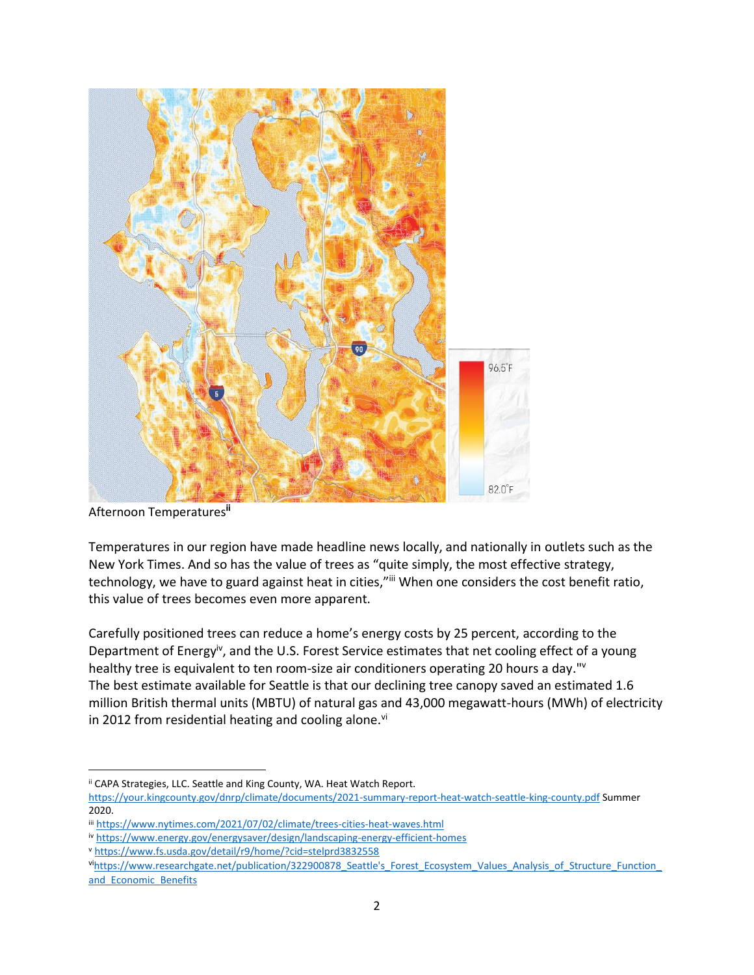

Afternoon Temperatures**ii**

Temperatures in our region have made headline news locally, and nationally in outlets such as the New York Times. And so has the value of trees as "quite simply, the most effective strategy, technology, we have to guard against heat in cities,"iii When one considers the cost benefit ratio, this value of trees becomes even more apparent.

Carefully positioned trees can reduce a home's energy costs by 25 percent, [according to the](https://www.energy.gov/energysaver/design/landscaping-energy-efficient-homes)  [Department of Energy](https://www.energy.gov/energysaver/design/landscaping-energy-efficient-homes)iv, and the U.S. Forest Service estimates that net cooling effect of a young healthy tree is equivalent to ten room-size air conditioners operating 20 hours a day."<sup>v</sup> The best estimate available for Seattle is that our declining tree canopy saved an estimated 1.6 million British thermal units (MBTU) of natural gas and 43,000 megawatt-hours (MWh) of electricity in 2012 from residential heating and cooling alone. $vi$ 

ii CAPA Strategies, LLC. Seattle and King County, WA. Heat Watch Report.

<https://your.kingcounty.gov/dnrp/climate/documents/2021-summary-report-heat-watch-seattle-king-county.pdf> Summer 2020.

iii <https://www.nytimes.com/2021/07/02/climate/trees-cities-heat-waves.html>

iv <https://www.energy.gov/energysaver/design/landscaping-energy-efficient-homes>

<sup>v</sup> <https://www.fs.usda.gov/detail/r9/home/?cid=stelprd3832558>

vihttps://www.researchgate.net/publication/322900878 Seattle's Forest\_Ecosystem\_Values\_Analysis\_of\_Structure\_Function and Economic Benefits